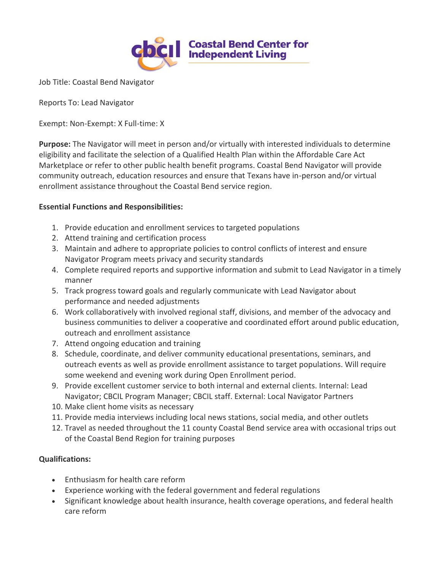

Job Title: Coastal Bend Navigator

Reports To: Lead Navigator

Exempt: Non-Exempt: X Full-time: X

**Purpose:** The Navigator will meet in person and/or virtually with interested individuals to determine eligibility and facilitate the selection of a Qualified Health Plan within the Affordable Care Act Marketplace or refer to other public health benefit programs. Coastal Bend Navigator will provide community outreach, education resources and ensure that Texans have in-person and/or virtual enrollment assistance throughout the Coastal Bend service region.

## **Essential Functions and Responsibilities:**

- 1. Provide education and enrollment services to targeted populations
- 2. Attend training and certification process
- 3. Maintain and adhere to appropriate policies to control conflicts of interest and ensure Navigator Program meets privacy and security standards
- 4. Complete required reports and supportive information and submit to Lead Navigator in a timely manner
- 5. Track progress toward goals and regularly communicate with Lead Navigator about performance and needed adjustments
- 6. Work collaboratively with involved regional staff, divisions, and member of the advocacy and business communities to deliver a cooperative and coordinated effort around public education, outreach and enrollment assistance
- 7. Attend ongoing education and training
- 8. Schedule, coordinate, and deliver community educational presentations, seminars, and outreach events as well as provide enrollment assistance to target populations. Will require some weekend and evening work during Open Enrollment period.
- 9. Provide excellent customer service to both internal and external clients. Internal: Lead Navigator; CBCIL Program Manager; CBCIL staff. External: Local Navigator Partners
- 10. Make client home visits as necessary
- 11. Provide media interviews including local news stations, social media, and other outlets
- 12. Travel as needed throughout the 11 county Coastal Bend service area with occasional trips out of the Coastal Bend Region for training purposes

## **Qualifications:**

- Enthusiasm for health care reform
- Experience working with the federal government and federal regulations
- Significant knowledge about health insurance, health coverage operations, and federal health care reform